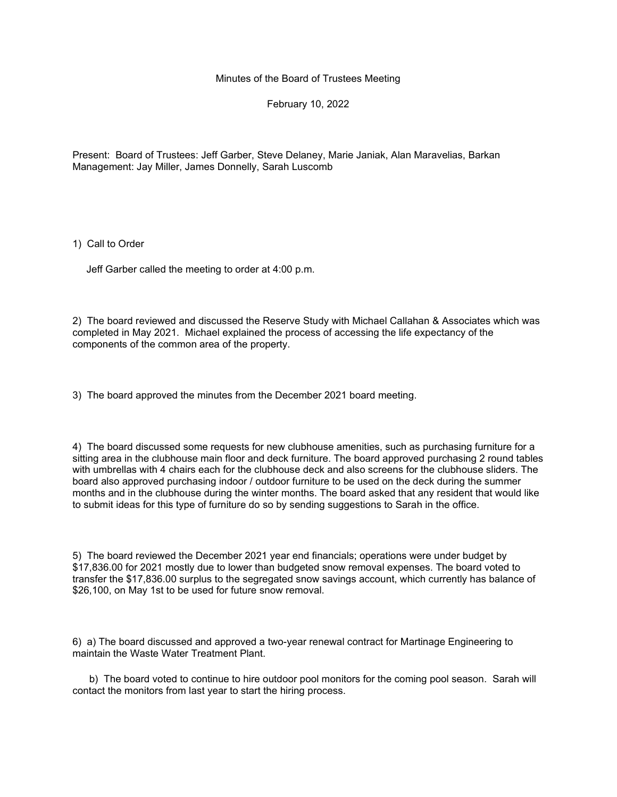Minutes of the Board of Trustees Meeting

February 10, 2022

Present: Board of Trustees: Jeff Garber, Steve Delaney, Marie Janiak, Alan Maravelias, Barkan Management: Jay Miller, James Donnelly, Sarah Luscomb

1) Call to Order

Jeff Garber called the meeting to order at 4:00 p.m.

2) The board reviewed and discussed the Reserve Study with Michael Callahan & Associates which was completed in May 2021. Michael explained the process of accessing the life expectancy of the components of the common area of the property.

3) The board approved the minutes from the December 2021 board meeting.

4) The board discussed some requests for new clubhouse amenities, such as purchasing furniture for a sitting area in the clubhouse main floor and deck furniture. The board approved purchasing 2 round tables with umbrellas with 4 chairs each for the clubhouse deck and also screens for the clubhouse sliders. The board also approved purchasing indoor / outdoor furniture to be used on the deck during the summer months and in the clubhouse during the winter months. The board asked that any resident that would like to submit ideas for this type of furniture do so by sending suggestions to Sarah in the office.

5) The board reviewed the December 2021 year end financials; operations were under budget by \$17,836.00 for 2021 mostly due to lower than budgeted snow removal expenses. The board voted to transfer the \$17,836.00 surplus to the segregated snow savings account, which currently has balance of \$26,100, on May 1st to be used for future snow removal.

6) a) The board discussed and approved a two-year renewal contract for Martinage Engineering to maintain the Waste Water Treatment Plant.

 b) The board voted to continue to hire outdoor pool monitors for the coming pool season. Sarah will contact the monitors from last year to start the hiring process.